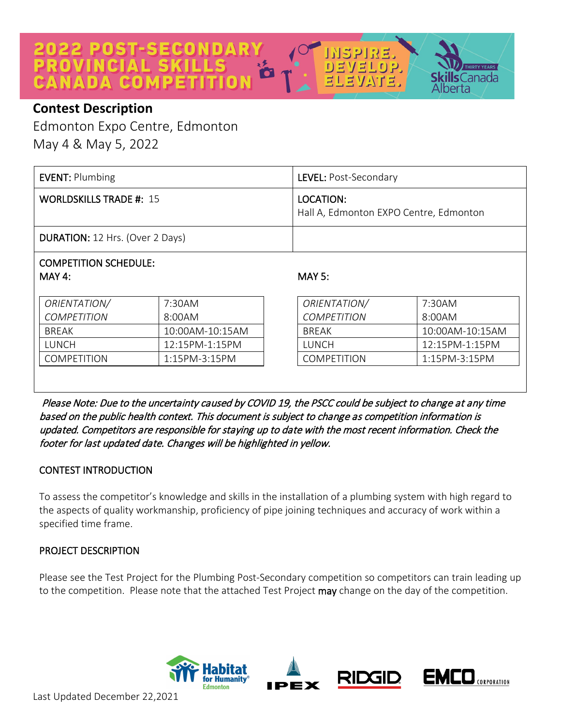# **2022 POST-SECONDARY**<br>PROVINCIAL SKILLS CANADA CO



Edmonton Expo Centre, Edmonton May 4 & May 5, 2022

| EVENT: Plumbing                        | LEVEL: Post-Secondary                               |
|----------------------------------------|-----------------------------------------------------|
| <b>WORLDSKILLS TRADE #: 15</b>         | LOCATION:<br>Hall A, Edmonton EXPO Centre, Edmonton |
| <b>DURATION:</b> 12 Hrs. (Over 2 Days) |                                                     |

### COMPETITION SCHEDULE: MAY 4:

| ORIENTATION/       | 7:30AM                 |
|--------------------|------------------------|
| <i>COMPETITION</i> | 8:00AM                 |
| <b>BRFAK</b>       | $10:00$ AM- $10:15$ AM |
| LUNCH              | $12:15PM-1:15PM$       |
| COMPETITION        | $1:15PM - 3:15PM$      |

### MAY 5:

リョソョレ

 $\Box$ 

 $\mathsf{s}$ Canada

erta

| ORIENTATION/       | 7:30AM                   |
|--------------------|--------------------------|
| <b>COMPETITION</b> | 8:00AM                   |
| <b>BRFAK</b>       | 10:00AM-10:15AM          |
| <b>TUNCH</b>       | $12:15PM-1:15PM$         |
| <b>COMPETITION</b> | $1.15$ PM-3 $\cdot$ 15PM |

 Please Note: Due to the uncertainty caused by COVID 19, the PSCC could be subject to change at any time based on the public health context. This document is subject to change as competition information is updated. Competitors are responsible for staying up to date with the most recent information. Check the footer for last updated date. Changes will be highlighted in yellow.

### CONTEST INTRODUCTION

To assess the competitor's knowledge and skills in the installation of a plumbing system with high regard to the aspects of quality workmanship, proficiency of pipe joining techniques and accuracy of work within a specified time frame.

### PROJECT DESCRIPTION

Please see the Test Project for the Plumbing Post-Secondary competition so competitors can train leading up to the competition. Please note that the attached Test Project may change on the day of the competition.

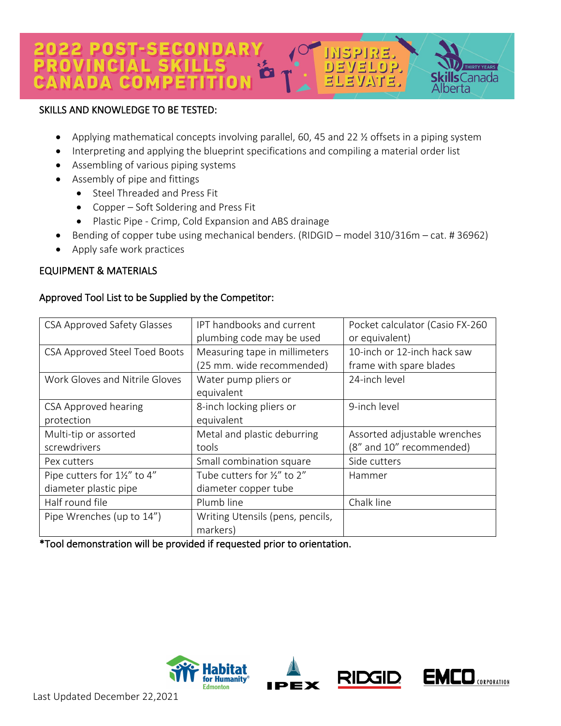#### 22 POST-SECONDARY ROVINCIA  $\Gamma$ EVELOP. 公子弟。

### SKILLS AND KNOWLEDGE TO BE TESTED:

- Applying mathematical concepts involving parallel, 60, 45 and 22 ½ offsets in a piping system
- Interpreting and applying the blueprint specifications and compiling a material order list
- Assembling of various piping systems
- Assembly of pipe and fittings
	- Steel Threaded and Press Fit
	- Copper Soft Soldering and Press Fit
	- Plastic Pipe Crimp, Cold Expansion and ABS drainage
- Bending of copper tube using mechanical benders. (RIDGID model 310/316m cat. # 36962)
- Apply safe work practices

### EQUIPMENT & MATERIALS

### Approved Tool List to be Supplied by the Competitor:

| <b>CSA Approved Safety Glasses</b> | IPT handbooks and current        | Pocket calculator (Casio FX-260 |
|------------------------------------|----------------------------------|---------------------------------|
|                                    | plumbing code may be used        | or equivalent)                  |
| CSA Approved Steel Toed Boots      | Measuring tape in millimeters    | 10-inch or 12-inch hack saw     |
|                                    | (25 mm. wide recommended)        | frame with spare blades         |
| Work Gloves and Nitrile Gloves     | Water pump pliers or             | 24-inch level                   |
|                                    | equivalent                       |                                 |
| <b>CSA Approved hearing</b>        | 8-inch locking pliers or         | 9-inch level                    |
| protection                         | equivalent                       |                                 |
| Multi-tip or assorted              | Metal and plastic deburring      | Assorted adjustable wrenches    |
| screwdrivers                       | tools                            | (8" and 10" recommended)        |
| Pex cutters                        | Small combination square         | Side cutters                    |
| Pipe cutters for 1½" to 4"         | Tube cutters for 1/2" to 2"      | Hammer                          |
| diameter plastic pipe              | diameter copper tube             |                                 |
| Half round file                    | Plumb line                       | Chalk line                      |
| Pipe Wrenches (up to 14")          | Writing Utensils (pens, pencils, |                                 |
|                                    | markers)                         |                                 |

\*Tool demonstration will be provided if requested prior to orientation.









**RTY YEARS**  $\mathsf{s}$ Canada

perta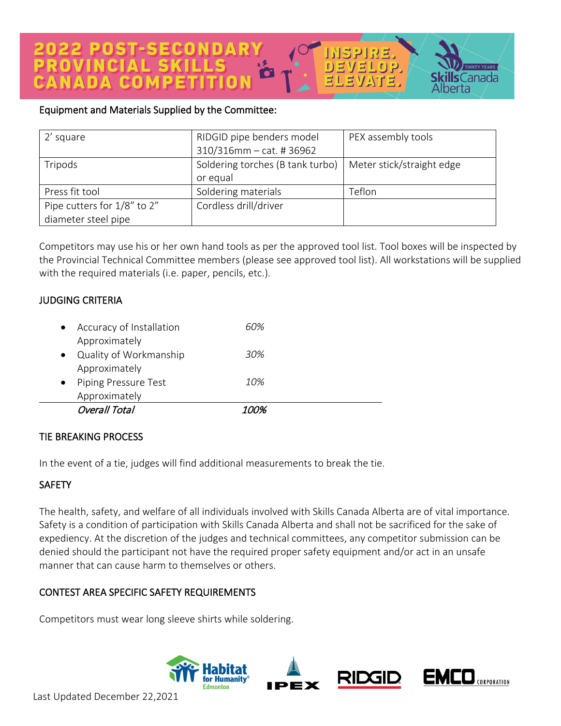### Equipment and Materials Supplied by the Committee:

| 2' square                   | RIDGID pipe benders model        | PEX assembly tools        |
|-----------------------------|----------------------------------|---------------------------|
|                             | $310/316$ mm - cat. # 36962      |                           |
| Tripods                     | Soldering torches (B tank turbo) | Meter stick/straight edge |
|                             | or equal                         |                           |
| Press fit tool              | Soldering materials              | Teflon                    |
| Pipe cutters for 1/8" to 2" | Cordless drill/driver            |                           |
| diameter steel pipe         |                                  |                           |

 $\Omega$ 

VEL

**RTY YEARS** 

 $\mathsf{s}$ Canada

erta

Competitors may use his or her own hand tools as per the approved tool list. Tool boxes will be inspected by the Provincial Technical Committee members (please see approved tool list). All workstations will be supplied with the required materials (i.e. paper, pencils, etc.).

### JUDGING CRITERIA

| Accuracy of Installation<br>Approximately | 60%   |  |
|-------------------------------------------|-------|--|
| Quality of Workmanship<br>Approximately   | 30%   |  |
| Piping Pressure Test<br>Approximately     | 10%   |  |
| Overall Total                             | 1 በበ% |  |

### TIE BREAKING PROCESS

In the event of a tie, judges will find additional measurements to break the tie.

### **SAFETY**

The health, safety, and welfare of all individuals involved with Skills Canada Alberta are of vital importance. Safety is a condition of participation with Skills Canada Alberta and shall not be sacrificed for the sake of expediency. At the discretion of the judges and technical committees, any competitor submission can be denied should the participant not have the required proper safety equipment and/or act in an unsafe manner that can cause harm to themselves or others.

### CONTEST AREA SPECIFIC SAFETY REQUIREMENTS

Competitors must wear long sleeve shirts while soldering.

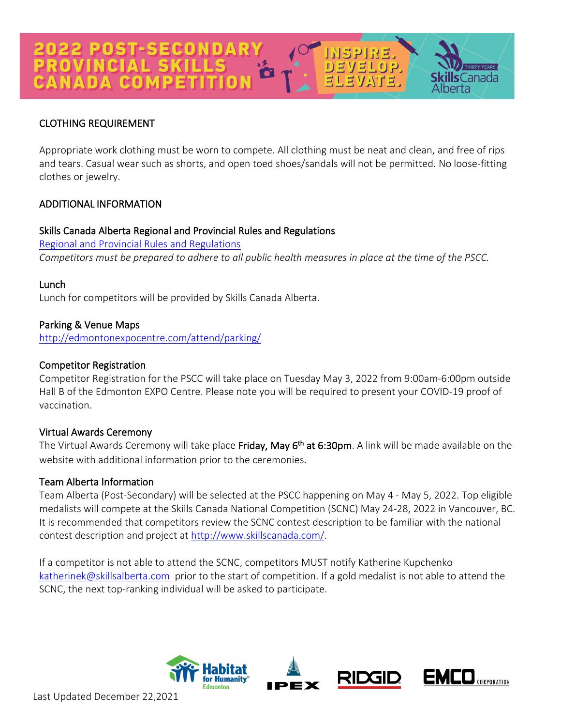## 2022 POST-SECONDAR\<br>PROVINCIAL SKILLS NADA GO

### CLOTHING REQUIREMENT

Appropriate work clothing must be worn to compete. All clothing must be neat and clean, and free of rips and tears. Casual wear such as shorts, and open toed shoes/sandals will not be permitted. No loose-fitting clothes or jewelry.

 $[1] \sqcup \{1, 1, 0\}$ 

 $\mathsf{s}$ Canada

### ADDITIONAL INFORMATION

### Skills Canada Alberta Regional and Provincial Rules and Regulations

[Regional and Provincial Rules and Regulations](https://skillsalberta.com/policies-and-procedures) *Competitors must be prepared to adhere to all public health measures in place at the time of the PSCC.*

### Lunch

Lunch for competitors will be provided by Skills Canada Alberta.

### Parking & Venue Maps

<http://edmontonexpocentre.com/attend/parking/>

### Competitor Registration

Competitor Registration for the PSCC will take place on Tuesday May 3, 2022 from 9:00am-6:00pm outside Hall B of the Edmonton EXPO Centre. Please note you will be required to present your COVID-19 proof of vaccination.

### Virtual Awards Ceremony

The Virtual Awards Ceremony will take place Friday, May 6<sup>th</sup> at 6:30pm. A link will be made available on the website with additional information prior to the ceremonies.

### Team Alberta Information

Team Alberta (Post-Secondary) will be selected at the PSCC happening on May 4 - May 5, 2022. Top eligible medalists will compete at the Skills Canada National Competition (SCNC) May 24-28, 2022 in Vancouver, BC. It is recommended that competitors review the SCNC contest description to be familiar with the national contest description and project at [http://www.skillscanada.com/.](http://www.skillscanada.com/)

If a competitor is not able to attend the SCNC, competitors MUST notify Katherine Kupchenko [katherinek@skillsalberta.com](mailto:katherinek@skillsalberta.com) prior to the start of competition. If a gold medalist is not able to attend the SCNC, the next top-ranking individual will be asked to participate.